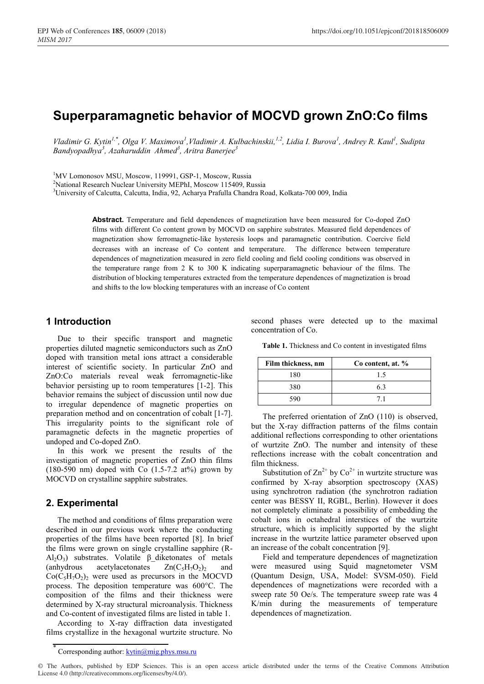# **Superparamagnetic behavior of MOCVD grown ZnO:Co films**

Vladimir G. Kytin<sup>1,\*</sup>, Olga V. Maximova<sup>1</sup>, Vladimir A. Kulbachinskii,<sup>1,2</sup>, Lidia I. Burova<sup>1</sup>, Andrey R. Kaul<sup>1</sup>, Sudipta *Bandyopadhya<sup>3</sup> , Azaharuddin Ahmed<sup>3</sup> , Aritra Banerjee<sup>3</sup>*

<sup>1</sup>MV Lomonosov MSU, Moscow, 119991, GSP-1, Moscow, Russia<br><sup>2</sup>National Research Nuclear University MERN, Moscow 115400, R

<sup>2</sup>National Research Nuclear University MEPhI, Moscow 115409, Russia

<sup>3</sup>University of Calcutta, Calcutta, India, 92, Acharya Prafulla Chandra Road, Kolkata-700 009, India

**Abstract.** Temperature and field dependences of magnetization have been measured for Co-doped ZnO films with different Co content grown by MOCVD on sapphire substrates. Measured field dependences of magnetization show ferromagnetic-like hysteresis loops and paramagnetic contribution. Coercive field decreases with an increase of Co content and temperature. The difference between temperature dependences of magnetization measured in zero field cooling and field cooling conditions was observed in the temperature range from 2 K to 300 K indicating superparamagnetic behaviour of the films. The distribution of blocking temperatures extracted from the temperature dependences of magnetization is broad and shifts to the low blocking temperatures with an increase of Co content

#### **1 Introduction**

Due to their specific transport and magnetic properties diluted magnetic semiconductors such as ZnO doped with transition metal ions attract a considerable interest of scientific society. In particular ZnO and ZnO:Сo materials reveal weak ferromagnetic-like behavior persisting up to room temperatures [1-2]. This behavior remains the subject of discussion until now due to irregular dependence of magnetic properties on preparation method and on concentration of cobalt [1-7]. This irregularity points to the significant role of paramagnetic defects in the magnetic properties of undoped and Co-doped ZnO.

In this work we present the results of the investigation of magnetic properties of ZnO thin films  $(180-590 \text{ nm})$  doped with Co  $(1.5-7.2 \text{ at} \%)$  grown by MOCVD on crystalline sapphire substrates.

## **2. Experimental**

The method and conditions of films preparation were described in our previous work where the conducting properties of the films have been reported [8]. In brief the films were grown on single crystalline sapphire (R-Al<sub>2</sub>O<sub>3</sub>) substrates. Volatile β diketonates of metals (anhydrous acetylacetonates  $Zn(C_5H_7O_2)$  and  $Co(C<sub>5</sub>H<sub>7</sub>O<sub>2</sub>)$ , were used as precursors in the MOCVD process. The deposition temperature was 600°C. The composition of the films and their thickness were determined by X-ray structural microanalysis. Thickness and Co-content of investigated films are listed in table 1.

According to X-ray diffraction data investigated films crystallize in the hexagonal wurtzite structure. No second phases were detected up to the maximal concentration of Co.

**Table 1.** Thickness and Co content in investigated films

| Film thickness, nm | Co content, at. % |
|--------------------|-------------------|
| 180                | 15                |
| 380                | 63                |
| 590                | 71                |

The preferred orientation of ZnO (110) is observed, but the X-ray diffraction patterns of the films contain additional reflections corresponding to other orientations of wurtzite ZnO. The number and intensity of these reflections increase with the cobalt concentration and film thickness.

Substitution of  $\text{Zn}^{2+}$  by  $\text{Co}^{2+}$  in wurtzite structure was confirmed by X-ray absorption spectroscopy (XAS) using synchrotron radiation (the synchrotron radiation center was BESSY II, RGBL, Berlin). However it does not completely eliminate a possibility of embedding the cobalt ions in octahedral interstices of the wurtzite structure, which is implicitly supported by the slight increase in the wurtzite lattice parameter observed upon an increase of the cobalt concentration [9].

Field and temperature dependences of magnetization were measured using Squid magnetometer VSM (Quantum Design, USA, Model: SVSM-050). Field dependences of magnetizations were recorded with a sweep rate 50 Oe/s. The temperature sweep rate was 4 K/min during the measurements of temperature dependences of magnetization.

Corresponding author: kytin@mig.phys.msu.ru

<sup>©</sup> The Authors, published by EDP Sciences. This is an open access article distributed under the terms of the Creative Commons Attribution License 4.0 (http://creativecommons.org/licenses/by/4.0/).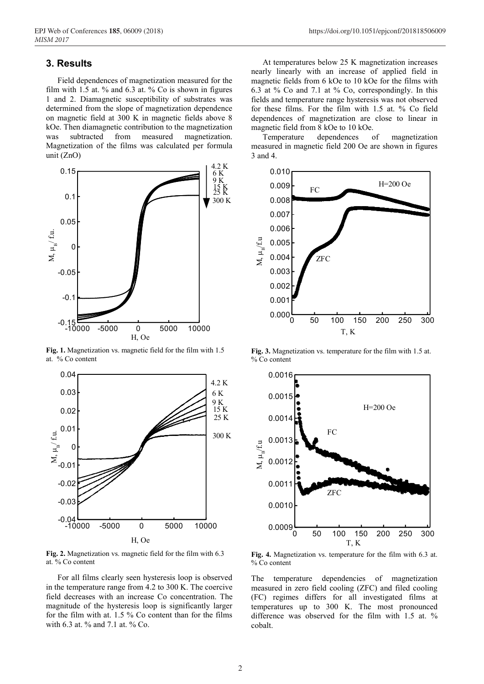## **3. Results**

Field dependences of magnetization measured for the film with 1.5 at. % and 6.3 at. % Co is shown in figures 1 and 2. Diamagnetic susceptibility of substrates was determined from the slope of magnetization dependence on magnetic field at 300 K in magnetic fields above 8 kOe. Then diamagnetic contribution to the magnetization was subtracted from measured magnetization. Magnetization of the films was calculated per formula unit (ZnO)



**Fig. 1.** Magnetization vs. magnetic field for the film with 1.5 at. % Co content



**Fig. 2.** Magnetization vs. magnetic field for the film with 6.3 at. % Co content

For all films clearly seen hysteresis loop is observed in the temperature range from 4.2 to 300 K. The coercive field decreases with an increase Co concentration. The magnitude of the hysteresis loop is significantly larger for the film with at. 1.5 % Co content than for the films with 6.3 at. % and 7.1 at. % Co.

At temperatures below 25 K magnetization increases nearly linearly with an increase of applied field in magnetic fields from 6 kOe to 10 kOe for the films with 6.3 at % Co and 7.1 at % Co, correspondingly. In this fields and temperature range hysteresis was not observed for these films. For the film with 1.5 at. % Co field dependences of magnetization are close to linear in magnetic field from 8 kOe to 10 kOe.

Temperature dependences of magnetization measured in magnetic field 200 Oe are shown in figures 3 and 4.



**Fig. 3.** Magnetization vs. temperature for the film with 1.5 at. % Co content



**Fig. 4.** Magnetization vs. temperature for the film with 6.3 at. % Co content

The temperature dependencies of magnetization measured in zero field cooling (ZFC) and filed cooling (FC) regimes differs for all investigated films at temperatures up to 300 K. The most pronounced difference was observed for the film with 1.5 at. % cobalt.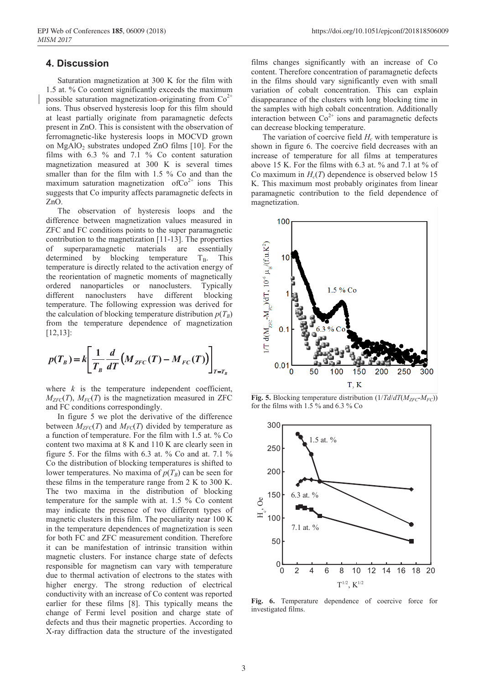#### **4. Discussion**

Saturation magnetization at 300 K for the film with 1.5 at. % Co content significantly exceeds the maximum possible saturation magnetization-originating from  $Co<sup>2+</sup>$ ions. Thus observed hysteresis loop for this film should at least partially originate from paramagnetic defects present in ZnO. This is consistent with the observation of ferromagnetic-like hysteresis loops in MOCVD grown on  $MgAlO<sub>2</sub>$  substrates undoped ZnO films [10]. For the films with 6.3 % and 7.1 % Co content saturation magnetization measured at 300 K is several times smaller than for the film with 1.5 % Co and than the maximum saturation magnetization of $\text{Co}^{2+}$  ions This suggests that Co impurity affects paramagnetic defects in ZnO.

The observation of hysteresis loops and the difference between magnetization values measured in ZFC and FC conditions points to the super paramagnetic contribution to the magnetization [11-13]. The properties of superparamagnetic materials are essentially determined by blocking temperature  $T_B$ . This temperature is directly related to the activation energy of the reorientation of magnetic moments of magnetically ordered nanoparticles or nanoclusters. Typically different nanoclusters have different blocking temperature. The following expression was derived for the calculation of blocking temperature distribution  $p(T_B)$ from the temperature dependence of magnetization [12,13]:

$$
p(T_B) = k \left[ \frac{1}{T_B} \frac{d}{dT} \left( M_{ZFC}(T) - M_{FC}(T) \right) \right]_{T=T_B}
$$

where  $k$  is the temperature independent coefficient,  $M_{ZFC}(T)$ ,  $M_{FC}(T)$  is the magnetization measured in ZFC and FC conditions correspondingly.

In figure 5 we plot the derivative of the difference between  $M_{ZFC}(T)$  and  $M_{FC}(T)$  divided by temperature as a function of temperature. For the film with 1.5 at. % Co content two maxima at 8 K and 110 K are clearly seen in figure 5. For the films with 6.3 at. % Co and at. 7.1 % Co the distribution of blocking temperatures is shifted to lower temperatures. No maxima of  $p(T_B)$  can be seen for these films in the temperature range from 2 K to 300 K. The two maxima in the distribution of blocking temperature for the sample with at. 1.5 % Co content may indicate the presence of two different types of magnetic clusters in this film. The peculiarity near 100 K in the temperature dependences of magnetization is seen for both FC and ZFC measurement condition. Therefore it can be manifestation of intrinsic transition within magnetic clusters. For instance charge state of defects responsible for magnetism can vary with temperature due to thermal activation of electrons to the states with higher energy. The strong reduction of electrical conductivity with an increase of Co content was reported earlier for these films [8]. This typically means the change of Fermi level position and charge state of defects and thus their magnetic properties. According to X-ray diffraction data the structure of the investigated

films changes significantly with an increase of Co content. Therefore concentration of paramagnetic defects in the films should vary significantly even with small variation of cobalt concentration. This can explain disappearance of the clusters with long blocking time in the samples with high cobalt concentration. Additionally interaction between  $Co^{2+}$  ions and paramagnetic defects can decrease blocking temperature.

The variation of coercive field  $H_c$  with temperature is shown in figure 6. The coercive field decreases with an increase of temperature for all films at temperatures above 15 K. For the films with 6.3 at. % and 7.1 at % of Co maximum in  $H_c(T)$  dependence is observed below 15 K. This maximum most probably originates from linear paramagnetic contribution to the field dependence of magnetization.



**Fig. 5.** Blocking temperature distribution  $(1/Td/dT(M_{ZFC} \cdot M_{FC}))$ for the films with 1.5 % and 6.3 % Co



**Fig. 6.** Temperature dependence of coercive force for investigated films.